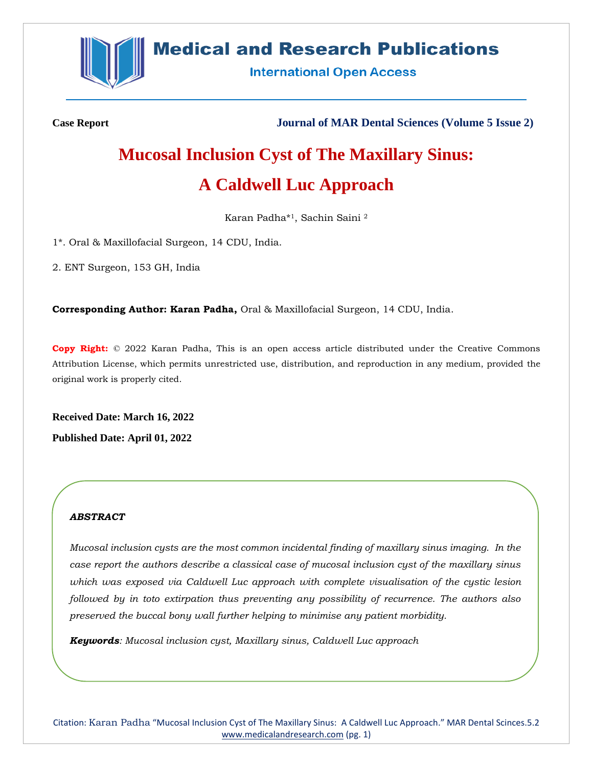

# **Medical and Research Publications**

**International Open Access** 

**Case Report Journal of MAR Dental Sciences (Volume 5 Issue 2)**

# **Mucosal Inclusion Cyst of The Maxillary Sinus: A Caldwell Luc Approach**

Karan Padha\* <sup>1</sup>, Sachin Saini <sup>2</sup>

1\*. Oral & Maxillofacial Surgeon, 14 CDU, India.

2. ENT Surgeon, 153 GH, India

**Corresponding Author: Karan Padha,** Oral & Maxillofacial Surgeon, 14 CDU, India.

**Copy Right:** © 2022 Karan Padha, This is an open access article distributed under the Creative Commons Attribution License, which permits unrestricted use, distribution, and reproduction in any medium, provided the original work is properly cited.

**Received Date: March 16, 2022 Published Date: April 01, 2022**

# *ABSTRACT*

*Mucosal inclusion cysts are the most common incidental finding of maxillary sinus imaging. In the case report the authors describe a classical case of mucosal inclusion cyst of the maxillary sinus which was exposed via Caldwell Luc approach with complete visualisation of the cystic lesion followed by in toto extirpation thus preventing any possibility of recurrence. The authors also preserved the buccal bony wall further helping to minimise any patient morbidity.*

*Keywords: Mucosal inclusion cyst, Maxillary sinus, Caldwell Luc approach*

Citation: Karan Padha "Mucosal Inclusion Cyst of The Maxillary Sinus: A Caldwell Luc Approach." MAR Dental Scinces.5.2 [www.medicalandresearch.com](http://www.medicalandresearch.com/) (pg. 1)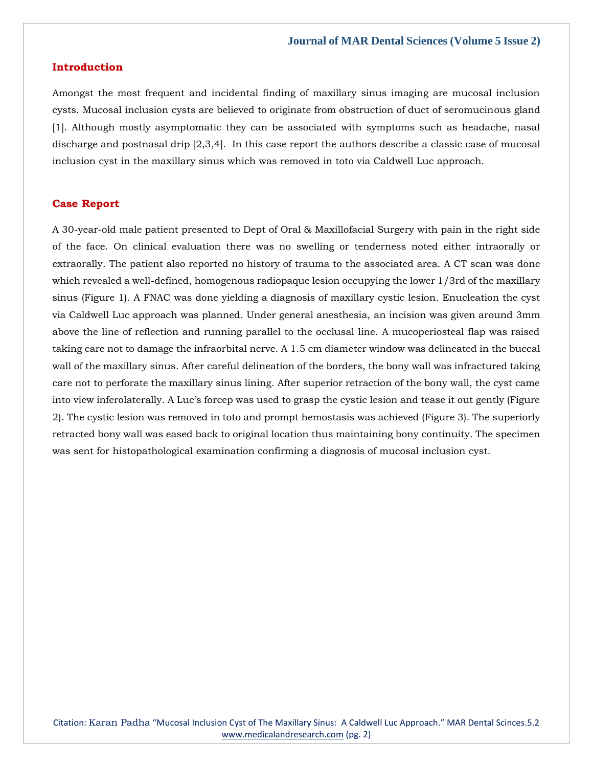#### **Introduction**

Amongst the most frequent and incidental finding of maxillary sinus imaging are mucosal inclusion cysts. Mucosal inclusion cysts are believed to originate from obstruction of duct of seromucinous gland [1]. Although mostly asymptomatic they can be associated with symptoms such as headache, nasal discharge and postnasal drip [2,3,4]. In this case report the authors describe a classic case of mucosal inclusion cyst in the maxillary sinus which was removed in toto via Caldwell Luc approach.

#### **Case Report**

A 30-year-old male patient presented to Dept of Oral & Maxillofacial Surgery with pain in the right side of the face. On clinical evaluation there was no swelling or tenderness noted either intraorally or extraorally. The patient also reported no history of trauma to the associated area. A CT scan was done which revealed a well-defined, homogenous radiopaque lesion occupying the lower 1/3rd of the maxillary sinus (Figure 1). A FNAC was done yielding a diagnosis of maxillary cystic lesion. Enucleation the cyst via Caldwell Luc approach was planned. Under general anesthesia, an incision was given around 3mm above the line of reflection and running parallel to the occlusal line. A mucoperiosteal flap was raised taking care not to damage the infraorbital nerve. A 1.5 cm diameter window was delineated in the buccal wall of the maxillary sinus. After careful delineation of the borders, the bony wall was infractured taking care not to perforate the maxillary sinus lining. After superior retraction of the bony wall, the cyst came into view inferolaterally. A Luc's forcep was used to grasp the cystic lesion and tease it out gently (Figure 2). The cystic lesion was removed in toto and prompt hemostasis was achieved (Figure 3). The superiorly retracted bony wall was eased back to original location thus maintaining bony continuity. The specimen was sent for histopathological examination confirming a diagnosis of mucosal inclusion cyst.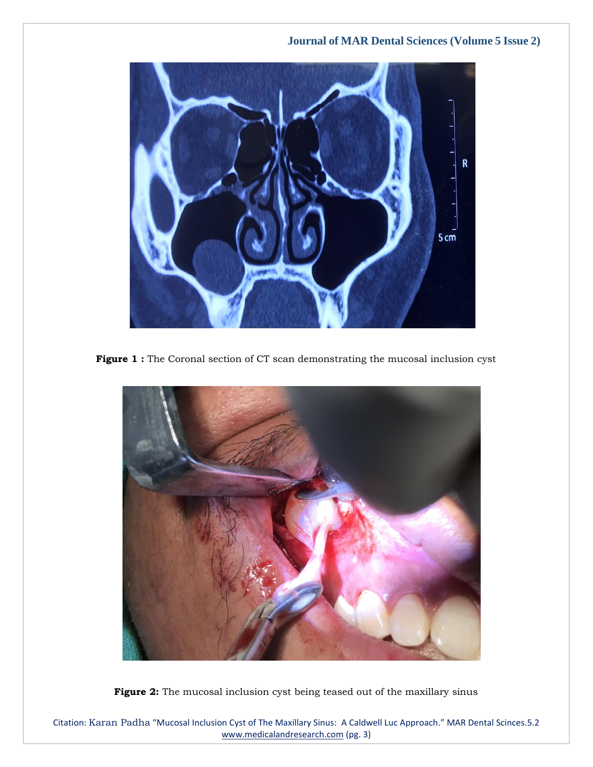

**Figure 1 :** The Coronal section of CT scan demonstrating the mucosal inclusion cyst



Figure 2: The mucosal inclusion cyst being teased out of the maxillary sinus

Citation: Karan Padha "Mucosal Inclusion Cyst of The Maxillary Sinus: A Caldwell Luc Approach." MAR Dental Scinces.5.2 [www.medicalandresearch.com](http://www.medicalandresearch.com/) (pg. 3)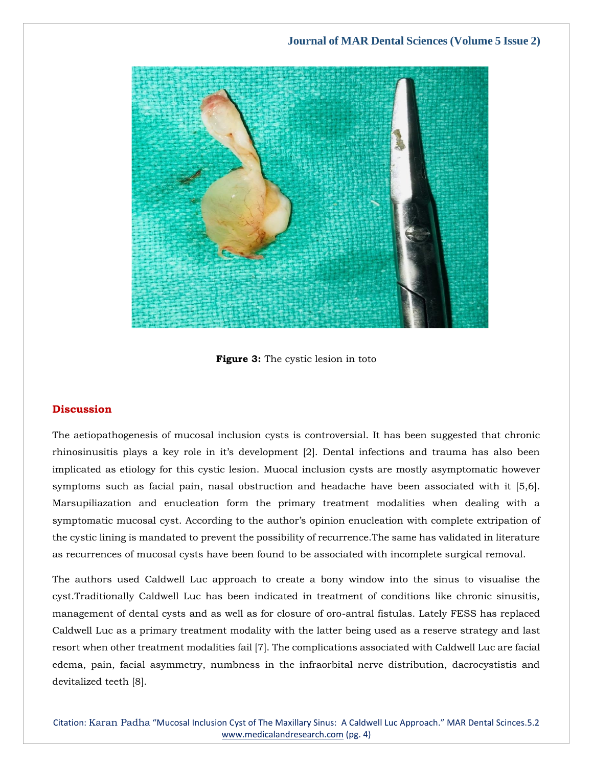

**Figure 3:** The cystic lesion in toto

# **Discussion**

The aetiopathogenesis of mucosal inclusion cysts is controversial. It has been suggested that chronic rhinosinusitis plays a key role in it's development [2]. Dental infections and trauma has also been implicated as etiology for this cystic lesion. Muocal inclusion cysts are mostly asymptomatic however symptoms such as facial pain, nasal obstruction and headache have been associated with it [5,6]. Marsupiliazation and enucleation form the primary treatment modalities when dealing with a symptomatic mucosal cyst. According to the author's opinion enucleation with complete extripation of the cystic lining is mandated to prevent the possibility of recurrence.The same has validated in literature as recurrences of mucosal cysts have been found to be associated with incomplete surgical removal.

The authors used Caldwell Luc approach to create a bony window into the sinus to visualise the cyst.Traditionally Caldwell Luc has been indicated in treatment of conditions like chronic sinusitis, management of dental cysts and as well as for closure of oro-antral fistulas. Lately FESS has replaced Caldwell Luc as a primary treatment modality with the latter being used as a reserve strategy and last resort when other treatment modalities fail [7]. The complications associated with Caldwell Luc are facial edema, pain, facial asymmetry, numbness in the infraorbital nerve distribution, dacrocystistis and devitalized teeth [8].